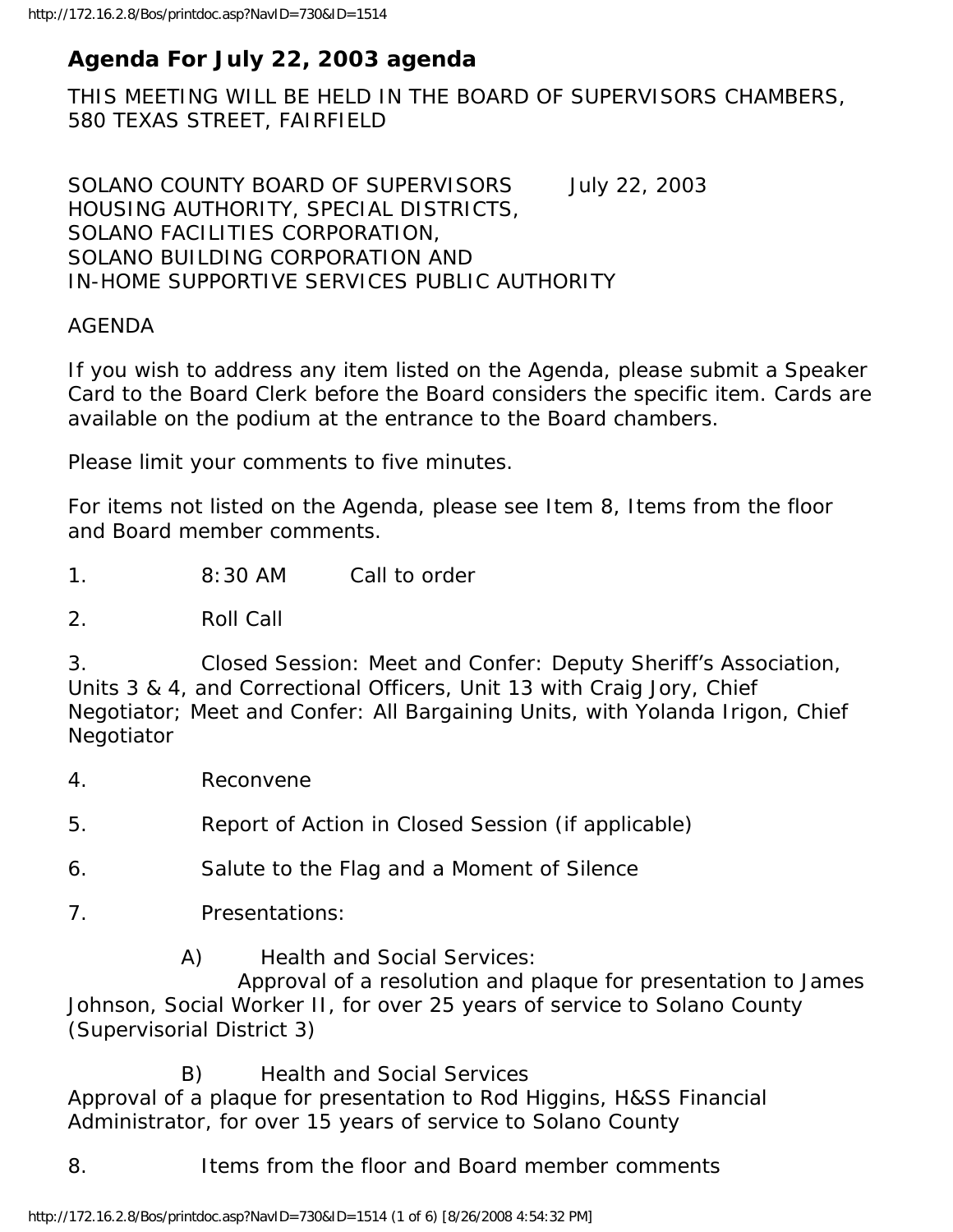# **Agenda For July 22, 2003 agenda**

THIS MEETING WILL BE HELD IN THE BOARD OF SUPERVISORS CHAMBERS, 580 TEXAS STREET, FAIRFIELD

SOLANO COUNTY BOARD OF SUPERVISORS July 22, 2003 HOUSING AUTHORITY, SPECIAL DISTRICTS, SOLANO FACILITIES CORPORATION, SOLANO BUILDING CORPORATION AND IN-HOME SUPPORTIVE SERVICES PUBLIC AUTHORITY

#### AGENDA

If you wish to address any item listed on the Agenda, please submit a Speaker Card to the Board Clerk before the Board considers the specific item. Cards are available on the podium at the entrance to the Board chambers.

Please limit your comments to five minutes.

For items not listed on the Agenda, please see Item 8, Items from the floor and Board member comments.

1. 8:30 AM Call to order

2. Roll Call

3. Closed Session: Meet and Confer: Deputy Sheriff's Association, Units 3 & 4, and Correctional Officers, Unit 13 with Craig Jory, Chief Negotiator; Meet and Confer: All Bargaining Units, with Yolanda Irigon, Chief **Negotiator** 

4. Reconvene

5. Report of Action in Closed Session (if applicable)

6. Salute to the Flag and a Moment of Silence

7. Presentations:

A) Health and Social Services:

 Approval of a resolution and plaque for presentation to James Johnson, Social Worker II, for over 25 years of service to Solano County (Supervisorial District 3)

 B) Health and Social Services Approval of a plaque for presentation to Rod Higgins, H&SS Financial Administrator, for over 15 years of service to Solano County

8. Items from the floor and Board member comments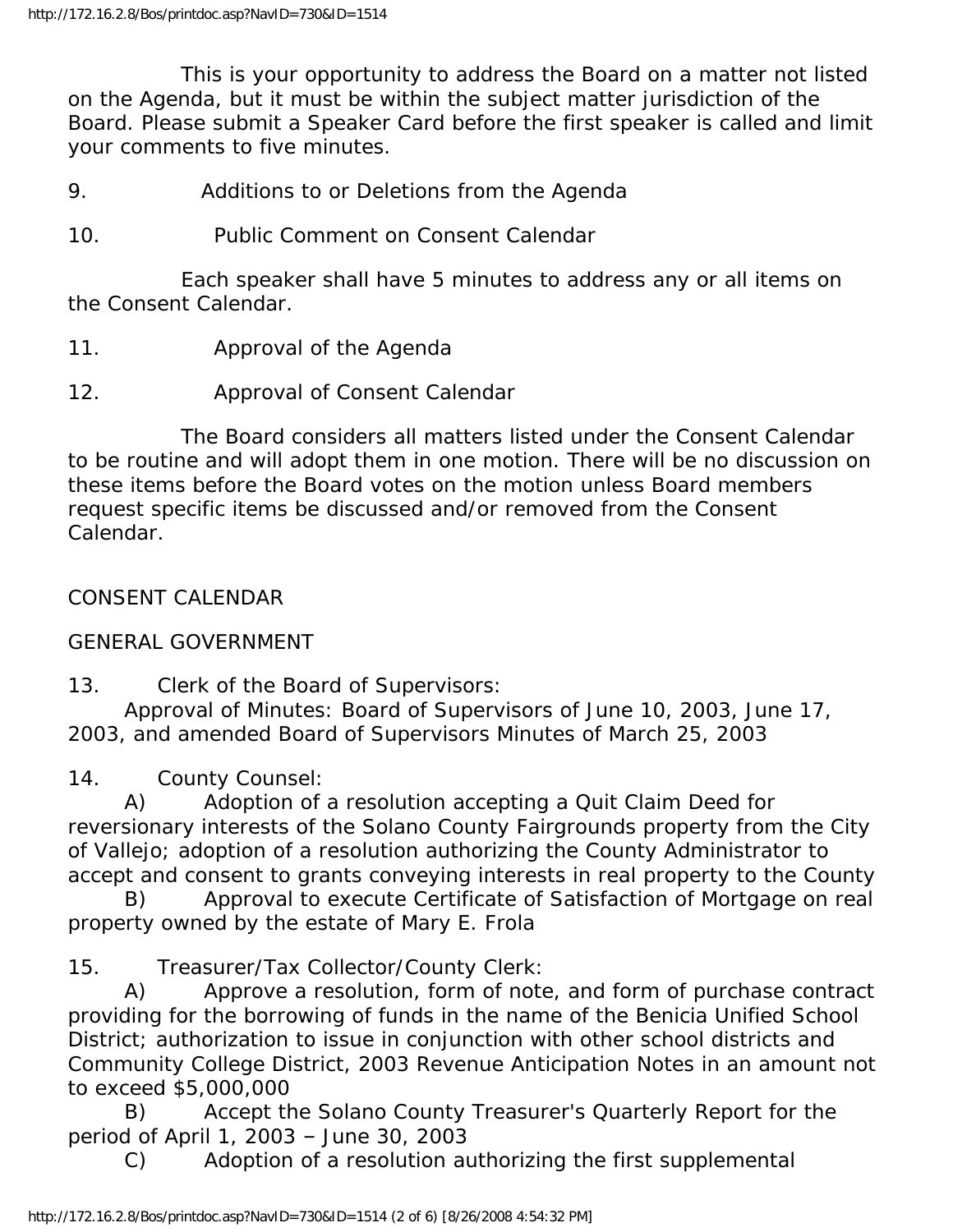This is your opportunity to address the Board on a matter not listed on the Agenda, but it must be within the subject matter jurisdiction of the Board. Please submit a Speaker Card before the first speaker is called and limit your comments to five minutes.

- 9. Additions to or Deletions from the Agenda
- 10. Public Comment on Consent Calendar

 Each speaker shall have 5 minutes to address any or all items on the Consent Calendar.

- 11. Approval of the Agenda
- 12. Approval of Consent Calendar

 The Board considers all matters listed under the Consent Calendar to be routine and will adopt them in one motion. There will be no discussion on these items before the Board votes on the motion unless Board members request specific items be discussed and/or removed from the Consent Calendar.

CONSENT CALENDAR

GENERAL GOVERNMENT

13. Clerk of the Board of Supervisors:

 Approval of Minutes: Board of Supervisors of June 10, 2003, June 17, 2003, and amended Board of Supervisors Minutes of March 25, 2003

14. County Counsel:

 A) Adoption of a resolution accepting a Quit Claim Deed for reversionary interests of the Solano County Fairgrounds property from the City of Vallejo; adoption of a resolution authorizing the County Administrator to accept and consent to grants conveying interests in real property to the County

 B) Approval to execute Certificate of Satisfaction of Mortgage on real property owned by the estate of Mary E. Frola

15. Treasurer/Tax Collector/County Clerk:

 A) Approve a resolution, form of note, and form of purchase contract providing for the borrowing of funds in the name of the Benicia Unified School District; authorization to issue in conjunction with other school districts and Community College District, 2003 Revenue Anticipation Notes in an amount not to exceed \$5,000,000

 B) Accept the Solano County Treasurer's Quarterly Report for the period of April 1, 2003 – June 30, 2003

C) Adoption of a resolution authorizing the first supplemental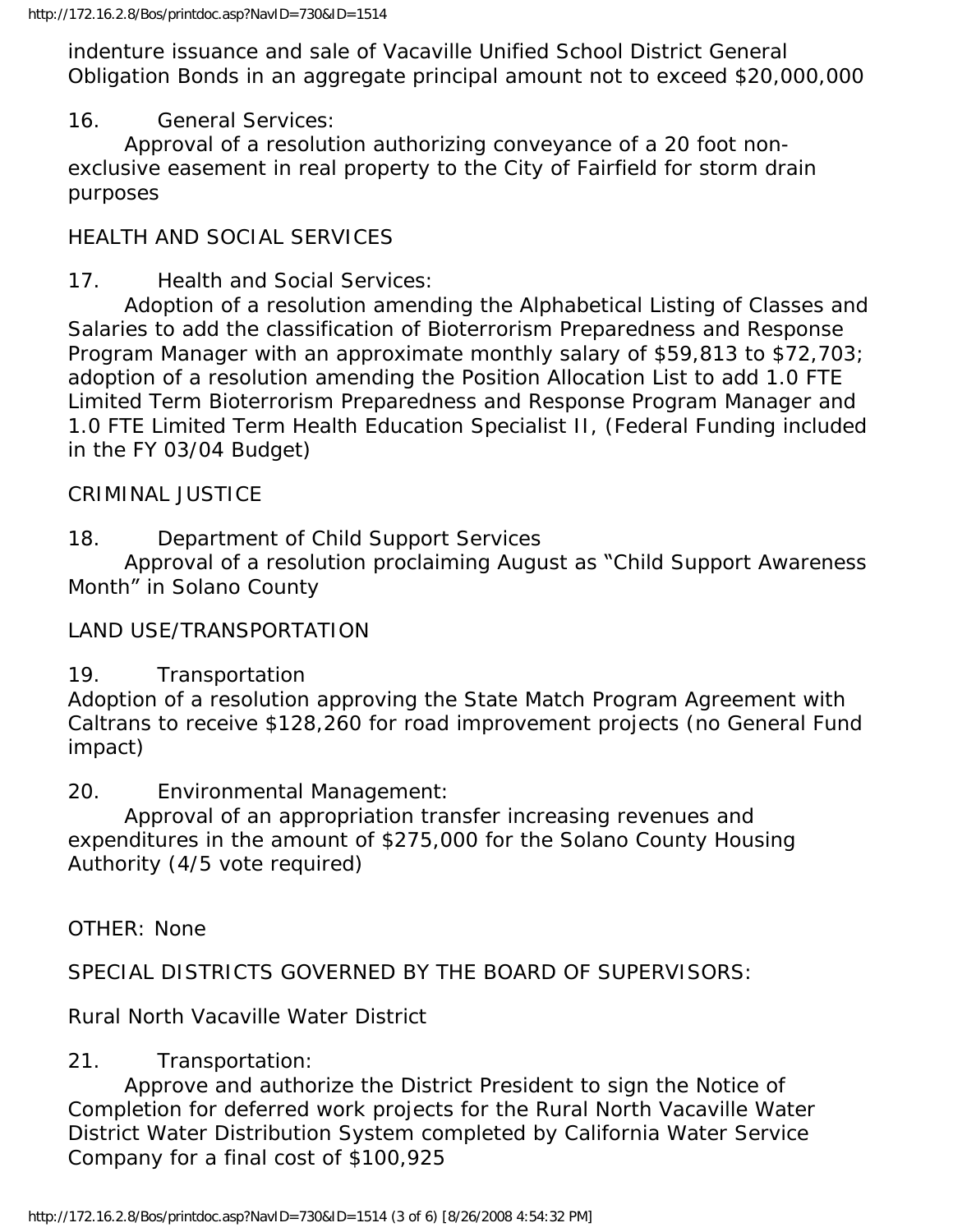indenture issuance and sale of Vacaville Unified School District General Obligation Bonds in an aggregate principal amount not to exceed \$20,000,000

## 16. General Services:

 Approval of a resolution authorizing conveyance of a 20 foot nonexclusive easement in real property to the City of Fairfield for storm drain purposes

# HEALTH AND SOCIAL SERVICES

### 17. Health and Social Services:

 Adoption of a resolution amending the Alphabetical Listing of Classes and Salaries to add the classification of Bioterrorism Preparedness and Response Program Manager with an approximate monthly salary of \$59,813 to \$72,703; adoption of a resolution amending the Position Allocation List to add 1.0 FTE Limited Term Bioterrorism Preparedness and Response Program Manager and 1.0 FTE Limited Term Health Education Specialist II, (Federal Funding included in the FY 03/04 Budget)

#### CRIMINAL JUSTICE

18. Department of Child Support Services

 Approval of a resolution proclaiming August as "Child Support Awareness Month" in Solano County

#### LAND USE/TRANSPORTATION

#### 19. Transportation

Adoption of a resolution approving the State Match Program Agreement with Caltrans to receive \$128,260 for road improvement projects (no General Fund impact)

20. Environmental Management:

 Approval of an appropriation transfer increasing revenues and expenditures in the amount of \$275,000 for the Solano County Housing Authority (4/5 vote required)

OTHER: None

SPECIAL DISTRICTS GOVERNED BY THE BOARD OF SUPERVISORS:

Rural North Vacaville Water District

#### 21. Transportation:

 Approve and authorize the District President to sign the Notice of Completion for deferred work projects for the Rural North Vacaville Water District Water Distribution System completed by California Water Service Company for a final cost of \$100,925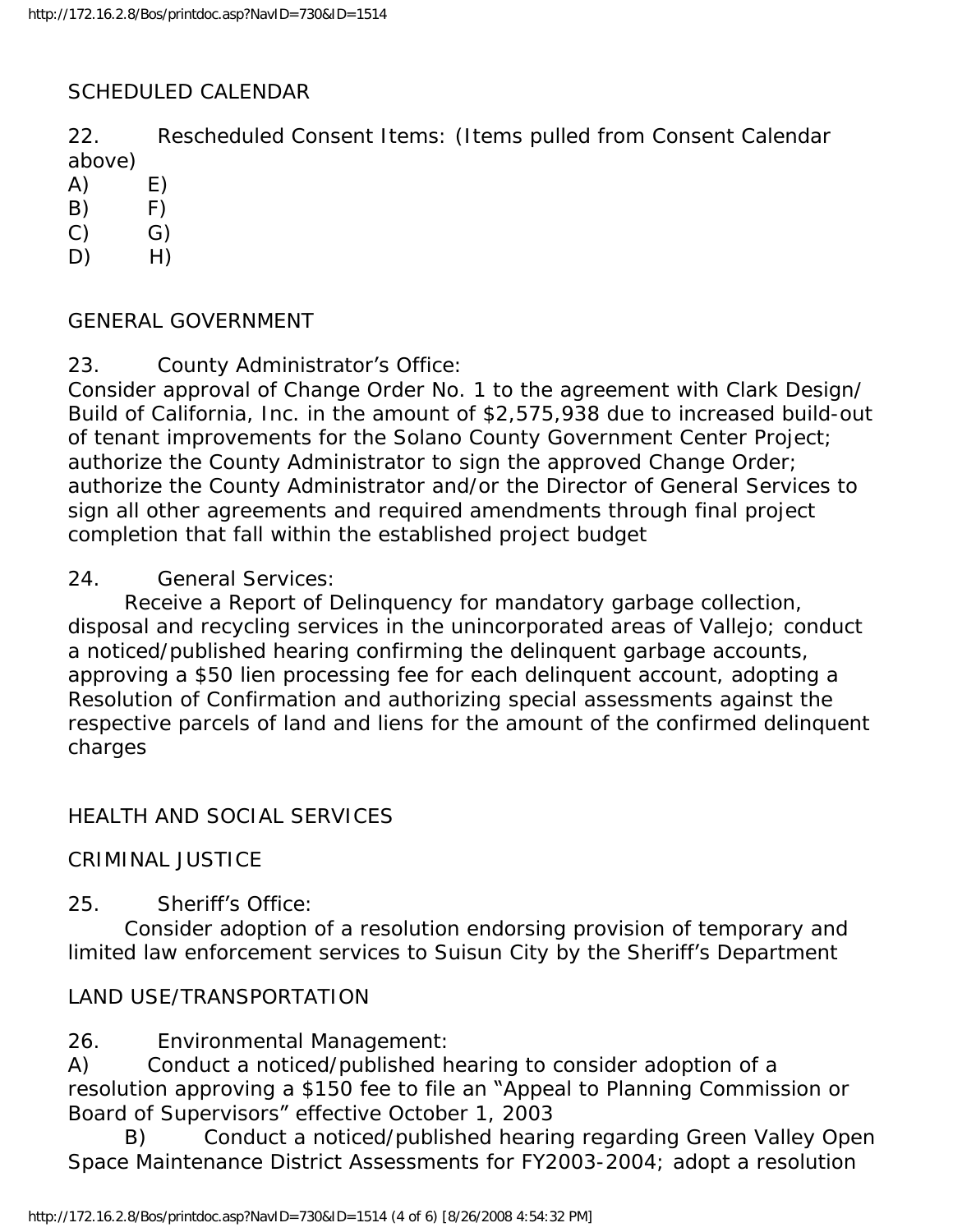#### SCHEDULED CALENDAR

22. Rescheduled Consent Items: (Items pulled from Consent Calendar above)

- $(A)$   $E)$
- $(B)$   $F)$
- $(C)$   $G)$
- $D)$  H)

#### GENERAL GOVERNMENT

23. County Administrator's Office:

Consider approval of Change Order No. 1 to the agreement with Clark Design/ Build of California, Inc. in the amount of \$2,575,938 due to increased build-out of tenant improvements for the Solano County Government Center Project; authorize the County Administrator to sign the approved Change Order; authorize the County Administrator and/or the Director of General Services to sign all other agreements and required amendments through final project completion that fall within the established project budget

#### 24. General Services:

 Receive a Report of Delinquency for mandatory garbage collection, disposal and recycling services in the unincorporated areas of Vallejo; conduct a noticed/published hearing confirming the delinquent garbage accounts, approving a \$50 lien processing fee for each delinquent account, adopting a Resolution of Confirmation and authorizing special assessments against the respective parcels of land and liens for the amount of the confirmed delinquent charges

#### HEALTH AND SOCIAL SERVICES

#### CRIMINAL JUSTICE

25. Sheriff's Office:

 Consider adoption of a resolution endorsing provision of temporary and limited law enforcement services to Suisun City by the Sheriff's Department

#### LAND USE/TRANSPORTATION

26. Environmental Management:

A) Conduct a noticed/published hearing to consider adoption of a resolution approving a \$150 fee to file an "Appeal to Planning Commission or Board of Supervisors" effective October 1, 2003

 B) Conduct a noticed/published hearing regarding Green Valley Open Space Maintenance District Assessments for FY2003-2004; adopt a resolution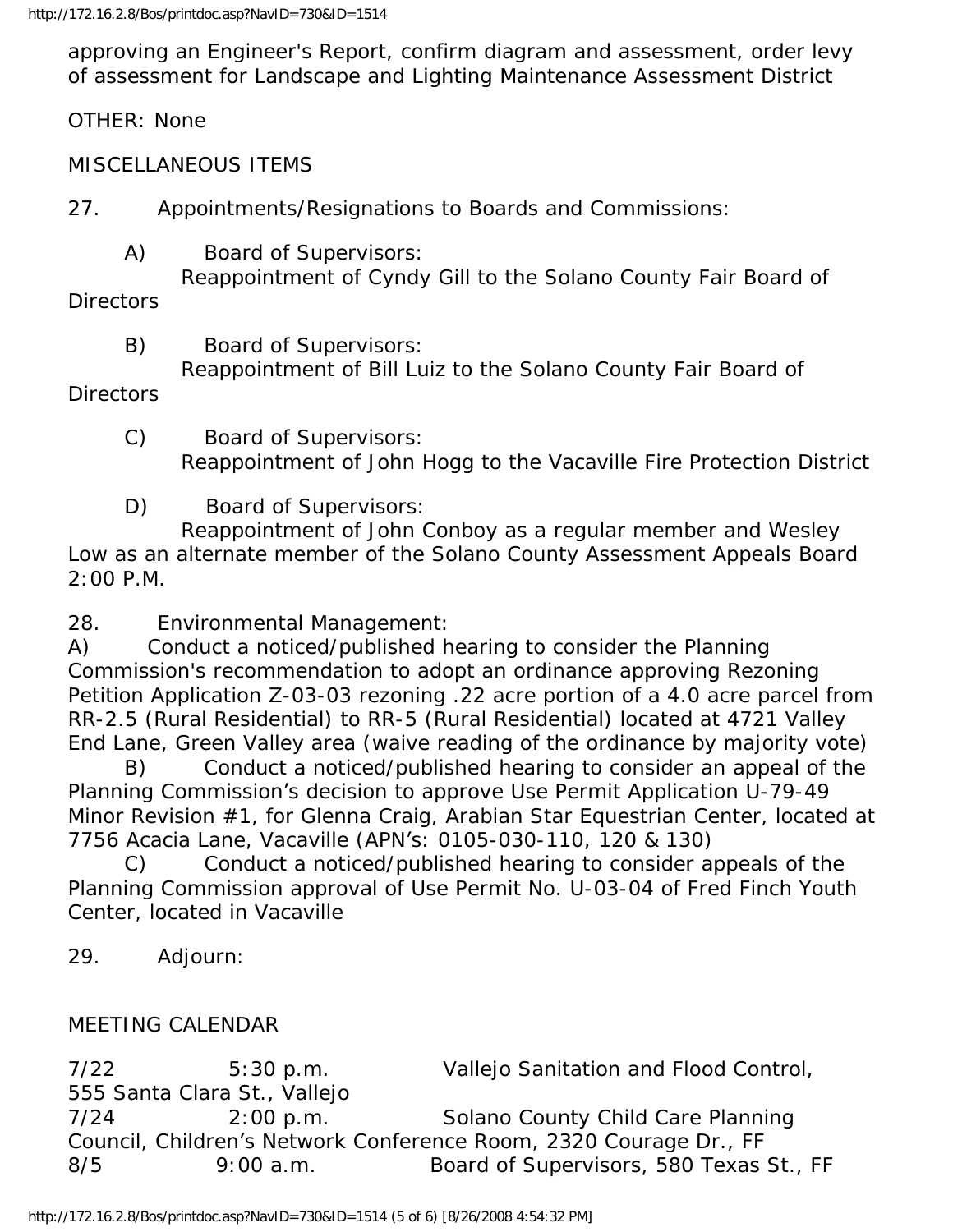approving an Engineer's Report, confirm diagram and assessment, order levy of assessment for Landscape and Lighting Maintenance Assessment District

OTHER: None

MISCELLANEOUS ITEMS

27. Appointments/Resignations to Boards and Commissions:

A) Board of Supervisors:

 Reappointment of Cyndy Gill to the Solano County Fair Board of Directors

B) Board of Supervisors:

Reappointment of Bill Luiz to the Solano County Fair Board of

Directors

 C) Board of Supervisors: Reappointment of John Hogg to the Vacaville Fire Protection District

D) Board of Supervisors:

 Reappointment of John Conboy as a regular member and Wesley Low as an alternate member of the Solano County Assessment Appeals Board 2:00 P.M.

28. Environmental Management:

A) Conduct a noticed/published hearing to consider the Planning Commission's recommendation to adopt an ordinance approving Rezoning Petition Application Z-03-03 rezoning .22 acre portion of a 4.0 acre parcel from RR-2.5 (Rural Residential) to RR-5 (Rural Residential) located at 4721 Valley End Lane, Green Valley area (waive reading of the ordinance by majority vote)

 B) Conduct a noticed/published hearing to consider an appeal of the Planning Commission's decision to approve Use Permit Application U-79-49 Minor Revision #1, for Glenna Craig, Arabian Star Equestrian Center, located at 7756 Acacia Lane, Vacaville (APN's: 0105-030-110, 120 & 130)

 C) Conduct a noticed/published hearing to consider appeals of the Planning Commission approval of Use Permit No. U-03-04 of Fred Finch Youth Center, located in Vacaville

29. Adjourn:

# MEETING CALENDAR

7/22 5:30 p.m. Vallejo Sanitation and Flood Control, 555 Santa Clara St., Vallejo 7/24 2:00 p.m. Solano County Child Care Planning Council, Children's Network Conference Room, 2320 Courage Dr., FF 8/5 9:00 a.m. Board of Supervisors, 580 Texas St., FF